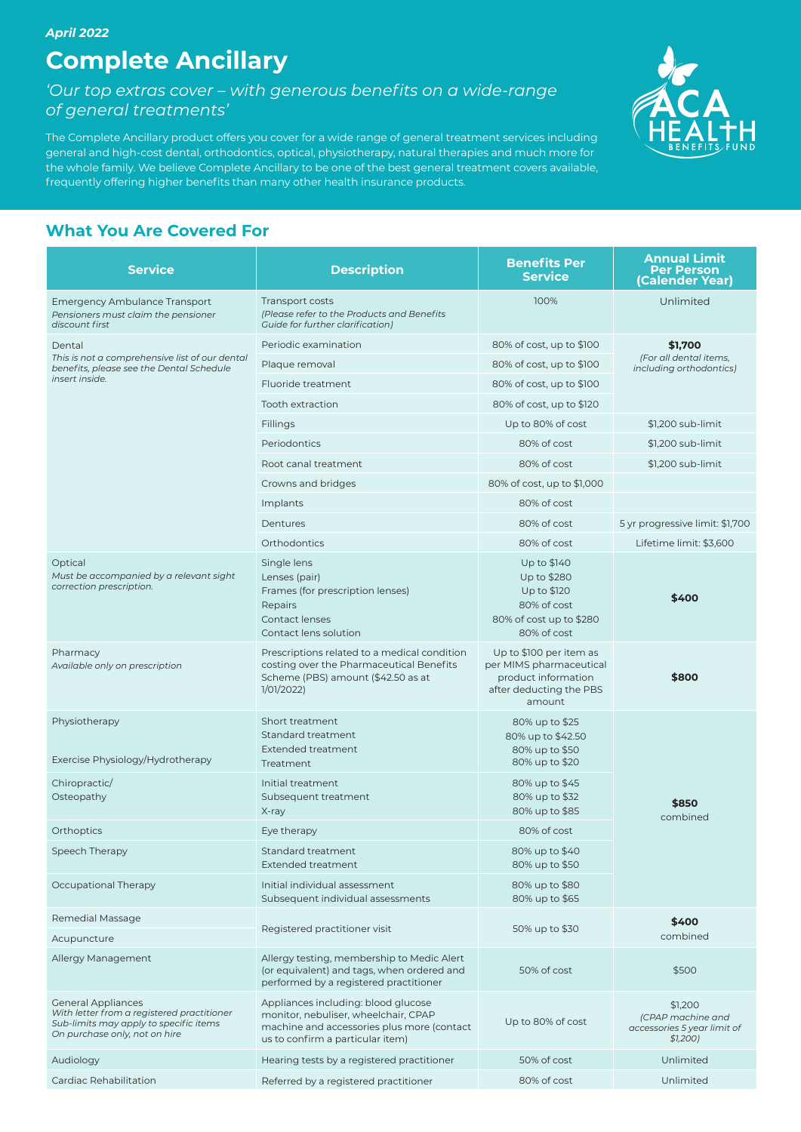# **Complete Ancillary**

*'Our top extras cover – with generous benefits on a wide-range of general treatments'*

The Complete Ancillary product offers you cover for a wide range of general treatment services including general and high-cost dental, orthodontics, optical, physiotherapy, natural therapies and much more for the whole family. We believe Complete Ancillary to be one of the best general treatment covers available, frequently offering higher benefits than many other health insurance products.



## **What You Are Covered For**

| <b>Service</b>                                                                                                                                     | <b>Description</b>                                                                                                                                            | <b>Benefits Per</b><br><b>Service</b>                                                                          | <b>Annual Limit</b><br><b>Per Person</b><br>(Calender Year)            |  |
|----------------------------------------------------------------------------------------------------------------------------------------------------|---------------------------------------------------------------------------------------------------------------------------------------------------------------|----------------------------------------------------------------------------------------------------------------|------------------------------------------------------------------------|--|
| <b>Emergency Ambulance Transport</b><br>Pensioners must claim the pensioner<br>discount first                                                      | Transport costs<br>(Please refer to the Products and Benefits<br>Guide for further clarification)                                                             | 100%                                                                                                           | Unlimited                                                              |  |
| Dental                                                                                                                                             | Periodic examination                                                                                                                                          | 80% of cost, up to \$100                                                                                       | \$1,700<br>(For all dental items,<br>including orthodontics)           |  |
| This is not a comprehensive list of our dental<br>benefits, please see the Dental Schedule<br>insert inside.                                       | Plaque removal                                                                                                                                                | 80% of cost, up to \$100                                                                                       |                                                                        |  |
|                                                                                                                                                    | Fluoride treatment                                                                                                                                            | 80% of cost, up to \$100                                                                                       |                                                                        |  |
|                                                                                                                                                    | Tooth extraction                                                                                                                                              | 80% of cost, up to \$120                                                                                       |                                                                        |  |
|                                                                                                                                                    | Fillings                                                                                                                                                      | Up to 80% of cost                                                                                              | \$1,200 sub-limit                                                      |  |
|                                                                                                                                                    | Periodontics                                                                                                                                                  | 80% of cost                                                                                                    | \$1,200 sub-limit                                                      |  |
|                                                                                                                                                    | Root canal treatment                                                                                                                                          | 80% of cost                                                                                                    | \$1,200 sub-limit                                                      |  |
|                                                                                                                                                    | Crowns and bridges                                                                                                                                            | 80% of cost, up to \$1,000                                                                                     |                                                                        |  |
|                                                                                                                                                    | Implants                                                                                                                                                      | 80% of cost                                                                                                    |                                                                        |  |
|                                                                                                                                                    | Dentures                                                                                                                                                      | 80% of cost                                                                                                    | 5 yr progressive limit: \$1,700                                        |  |
|                                                                                                                                                    | Orthodontics                                                                                                                                                  | 80% of cost                                                                                                    | Lifetime limit: \$3,600                                                |  |
| Optical<br>Must be accompanied by a relevant sight<br>correction prescription.                                                                     | Single lens<br>Lenses (pair)<br>Frames (for prescription lenses)<br>Repairs<br>Contact lenses<br>Contact lens solution                                        | Up to \$140<br>Up to \$280<br>Up to \$120<br>80% of cost<br>80% of cost up to \$280<br>80% of cost             | \$400                                                                  |  |
| Pharmacy<br>Available only on prescription                                                                                                         | Prescriptions related to a medical condition<br>costing over the Pharmaceutical Benefits<br>Scheme (PBS) amount (\$42.50 as at<br>1/01/2022)                  | Up to \$100 per item as<br>per MIMS pharmaceutical<br>product information<br>after deducting the PBS<br>amount | \$800                                                                  |  |
| Physiotherapy<br>Exercise Physiology/Hydrotherapy                                                                                                  | Short treatment<br>Standard treatment<br><b>Extended treatment</b><br>Treatment                                                                               | 80% up to \$25<br>80% up to \$42.50<br>80% up to \$50<br>80% up to \$20                                        |                                                                        |  |
| Chiropractic/<br>Osteopathy                                                                                                                        | Initial treatment<br>Subsequent treatment<br>X-ray                                                                                                            | 80% up to \$45<br>80% up to \$32<br>80% up to \$85                                                             | \$850<br>combined                                                      |  |
| Orthoptics                                                                                                                                         | Eye therapy                                                                                                                                                   | 80% of cost                                                                                                    |                                                                        |  |
| Speech Therapy                                                                                                                                     | Standard treatment<br><b>Extended treatment</b>                                                                                                               | 80% up to \$40<br>80% up to \$50                                                                               |                                                                        |  |
| Occupational Therapy                                                                                                                               | Initial individual assessment<br>Subsequent individual assessments                                                                                            | 80% up to \$80<br>80% up to \$65                                                                               |                                                                        |  |
| Remedial Massage                                                                                                                                   |                                                                                                                                                               |                                                                                                                | \$400                                                                  |  |
| Acupuncture                                                                                                                                        | Registered practitioner visit                                                                                                                                 | 50% up to \$30                                                                                                 | combined                                                               |  |
| Allergy Management                                                                                                                                 | Allergy testing, membership to Medic Alert<br>(or equivalent) and tags, when ordered and<br>performed by a registered practitioner                            | 50% of cost                                                                                                    | \$500                                                                  |  |
| <b>General Appliances</b><br>With letter from a registered practitioner<br>Sub-limits may apply to specific items<br>On purchase only, not on hire | Appliances including: blood glucose<br>monitor, nebuliser, wheelchair, CPAP<br>machine and accessories plus more (contact<br>us to confirm a particular item) | Up to 80% of cost                                                                                              | \$1,200<br>(CPAP machine and<br>accessories 5 year limit of<br>\$1,200 |  |
| Audiology                                                                                                                                          | Hearing tests by a registered practitioner                                                                                                                    | 50% of cost                                                                                                    | Unlimited                                                              |  |
| Cardiac Rehabilitation                                                                                                                             | Referred by a registered practitioner                                                                                                                         | 80% of cost                                                                                                    | Unlimited                                                              |  |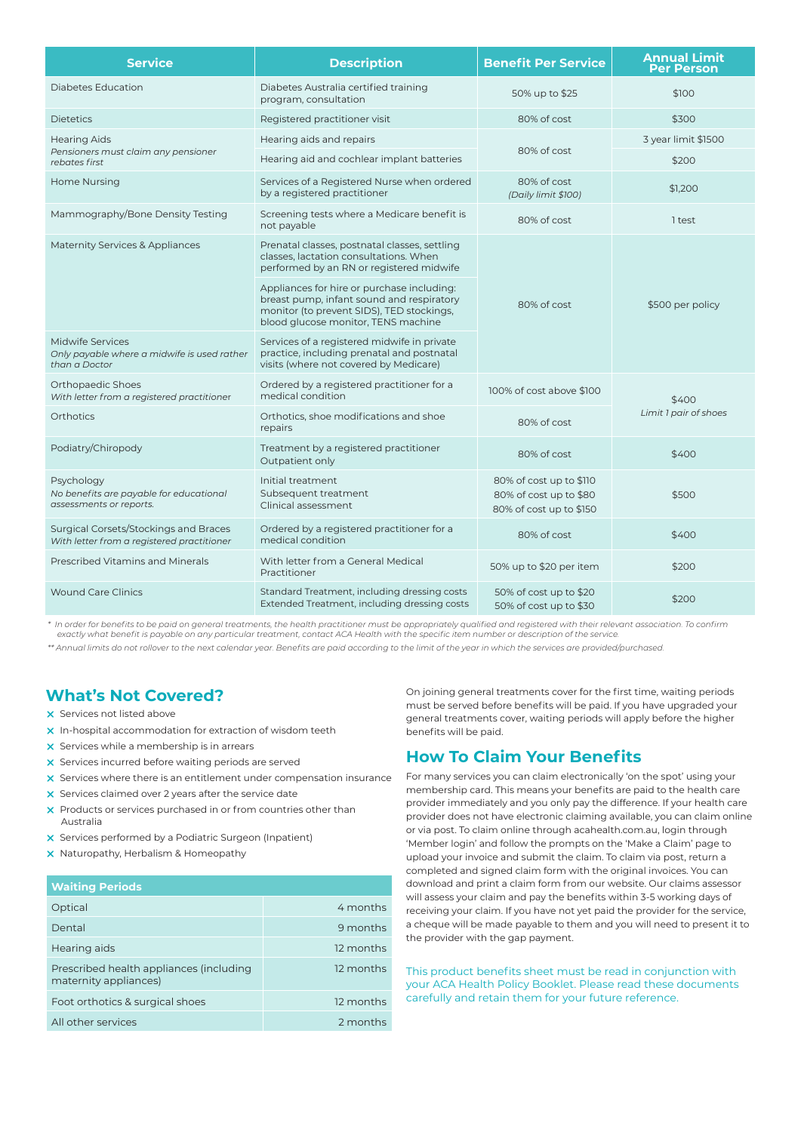| <b>Service</b>                                                                          | <b>Description</b>                                                                                                                                                          | <b>Benefit Per Service</b>                                                   | <b>Annual Limit</b><br><b>Per Person</b> |  |
|-----------------------------------------------------------------------------------------|-----------------------------------------------------------------------------------------------------------------------------------------------------------------------------|------------------------------------------------------------------------------|------------------------------------------|--|
| <b>Diabetes Education</b>                                                               | Diabetes Australia certified training<br>program, consultation                                                                                                              | 50% up to \$25                                                               | \$100                                    |  |
| <b>Dietetics</b>                                                                        | Registered practitioner visit                                                                                                                                               | 80% of cost                                                                  | \$300                                    |  |
| <b>Hearing Aids</b>                                                                     | Hearing aids and repairs                                                                                                                                                    |                                                                              | 3 year limit \$1500                      |  |
| Pensioners must claim any pensioner<br>rebates first                                    | Hearing aid and cochlear implant batteries                                                                                                                                  | 80% of cost                                                                  | \$200                                    |  |
| Home Nursing                                                                            | Services of a Registered Nurse when ordered<br>by a registered practitioner                                                                                                 | 80% of cost<br>(Daily limit \$100)                                           | \$1,200                                  |  |
| Mammography/Bone Density Testing                                                        | Screening tests where a Medicare benefit is<br>not payable                                                                                                                  | 80% of cost                                                                  | 1 test                                   |  |
| Maternity Services & Appliances                                                         | Prenatal classes, postnatal classes, settling<br>classes, lactation consultations. When<br>performed by an RN or registered midwife                                         |                                                                              |                                          |  |
|                                                                                         | Appliances for hire or purchase including:<br>breast pump, infant sound and respiratory<br>monitor (to prevent SIDS), TED stockings,<br>blood glucose monitor, TENS machine | 80% of cost                                                                  | \$500 per policy                         |  |
| <b>Midwife Services</b><br>Only payable where a midwife is used rather<br>than a Doctor | Services of a registered midwife in private<br>practice, including prenatal and postnatal<br>visits (where not covered by Medicare)                                         |                                                                              |                                          |  |
| Orthopaedic Shoes<br>With letter from a registered practitioner                         | Ordered by a registered practitioner for a<br>medical condition                                                                                                             | 100% of cost above \$100                                                     | \$400                                    |  |
| <b>Orthotics</b>                                                                        | Orthotics, shoe modifications and shoe<br>repairs                                                                                                                           | 80% of cost                                                                  | Limit 1 pair of shoes                    |  |
| Podiatry/Chiropody                                                                      | Treatment by a registered practitioner<br>Outpatient only                                                                                                                   | 80% of cost                                                                  | \$400                                    |  |
| Psychology<br>No benefits are payable for educational<br>assessments or reports.        | Initial treatment<br>Subsequent treatment<br>Clinical assessment                                                                                                            | 80% of cost up to \$110<br>80% of cost up to \$80<br>80% of cost up to \$150 | \$500                                    |  |
| Surgical Corsets/Stockings and Braces<br>With letter from a registered practitioner     | Ordered by a registered practitioner for a<br>medical condition                                                                                                             | 80% of cost                                                                  | \$400                                    |  |
| <b>Prescribed Vitamins and Minerals</b>                                                 | With letter from a General Medical<br>Practitioner                                                                                                                          | 50% up to \$20 per item                                                      | \$200                                    |  |
| <b>Wound Care Clinics</b>                                                               | Standard Treatment, including dressing costs<br>Extended Treatment, including dressing costs                                                                                | 50% of cost up to \$20<br>50% of cost up to \$30                             | \$200                                    |  |

*\* In order for benefits to be paid on general treatments, the health practitioner must be appropriately qualified and registered with their relevant association. To confirm exactly what benefit is payable on any particular treatment, contact ACA Health with the specific item number or description of the service.*

*\*\* Annual limits do not rollover to the next calendar year. Benefits are paid according to the limit of the year in which the services are provided/purchased.*

## **What's Not Covered?**

- $\times$  Services not listed above
- $x$  In-hospital accommodation for extraction of wisdom teeth
- $x$  Services while a membership is in arrears
- $\times$  Services incurred before waiting periods are served
- $x$  Services where there is an entitlement under compensation insurance
- $\times$  Services claimed over 2 years after the service date
- $\times$  Products or services purchased in or from countries other than Australia
- **x** Services performed by a Podiatric Surgeon (Inpatient)
- $x$  Naturopathy, Herbalism & Homeopathy

#### **Waiting Periods**

| <b>THURST CHOUS</b>                                              |           |
|------------------------------------------------------------------|-----------|
| Optical                                                          | 4 months  |
| Dental                                                           | 9 months  |
| Hearing aids                                                     | 12 months |
| Prescribed health appliances (including<br>maternity appliances) | 12 months |
| Foot orthotics & surgical shoes                                  | 12 months |
| All other services                                               | 2 months  |
|                                                                  |           |

On joining general treatments cover for the first time, waiting periods must be served before benefits will be paid. If you have upgraded your general treatments cover, waiting periods will apply before the higher benefits will be paid.

### **How To Claim Your Benefits**

For many services you can claim electronically 'on the spot' using your membership card. This means your benefits are paid to the health care provider immediately and you only pay the difference. If your health care provider does not have electronic claiming available, you can claim online or via post. To claim online through acahealth.com.au, login through 'Member login' and follow the prompts on the 'Make a Claim' page to upload your invoice and submit the claim. To claim via post, return a completed and signed claim form with the original invoices. You can download and print a claim form from our website. Our claims assessor will assess your claim and pay the benefits within 3-5 working days of receiving your claim. If you have not yet paid the provider for the service, a cheque will be made payable to them and you will need to present it to the provider with the gap payment.

This product benefits sheet must be read in conjunction with your ACA Health Policy Booklet. Please read these documents carefully and retain them for your future reference.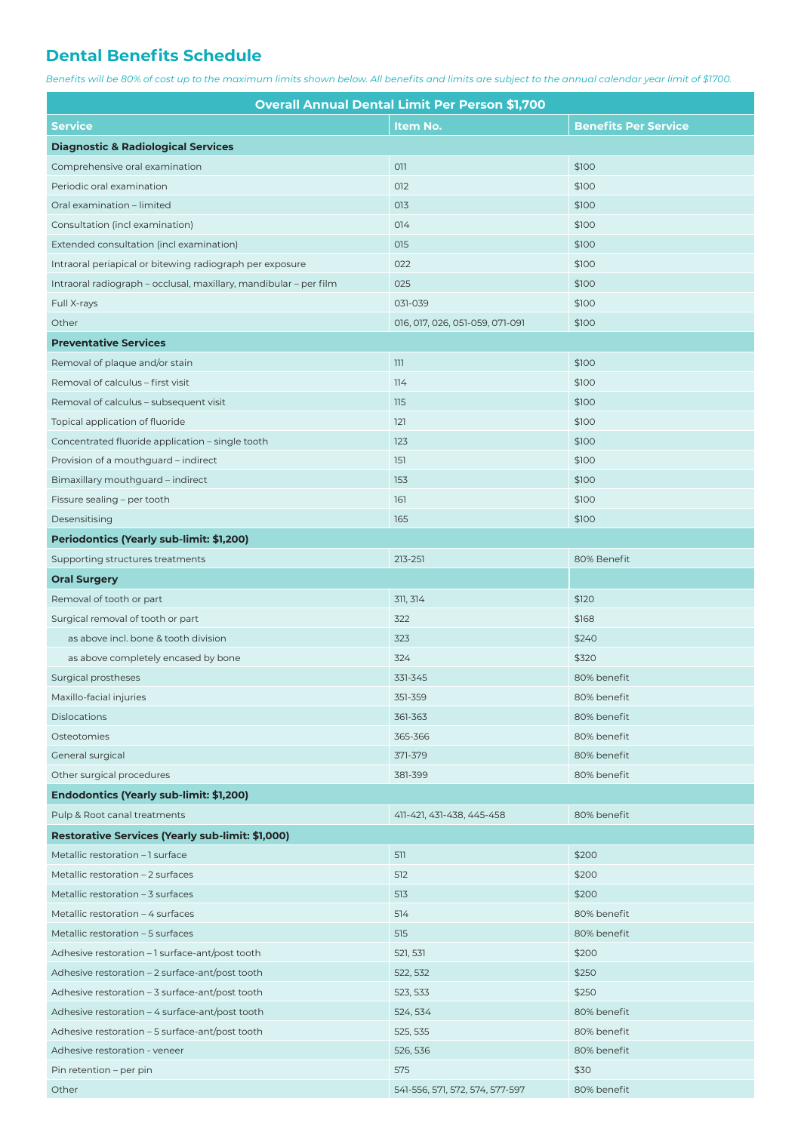## **Dental Benefits Schedule**

*Benefits will be 80% of cost up to the maximum limits shown below. All benefits and limits are subject to the annual calendar year limit of \$1700.*

| <b>Overall Annual Dental Limit Per Person \$1,700</b>             |                                 |                             |  |
|-------------------------------------------------------------------|---------------------------------|-----------------------------|--|
| <b>Service</b>                                                    | Item No.                        | <b>Benefits Per Service</b> |  |
| <b>Diagnostic &amp; Radiological Services</b>                     |                                 |                             |  |
| Comprehensive oral examination                                    | 011                             | \$100                       |  |
| Periodic oral examination                                         | 012                             | \$100                       |  |
| Oral examination - limited                                        | 013                             | \$100                       |  |
| Consultation (incl examination)                                   | 014                             | \$100                       |  |
| Extended consultation (incl examination)                          | 015                             | \$100                       |  |
| Intraoral periapical or bitewing radiograph per exposure          | 022                             | \$100                       |  |
| Intraoral radiograph - occlusal, maxillary, mandibular - per film | 025                             | \$100                       |  |
| Full X-rays                                                       | 031-039                         | \$100                       |  |
| Other                                                             | 016, 017, 026, 051-059, 071-091 | \$100                       |  |
| <b>Preventative Services</b>                                      |                                 |                             |  |
| Removal of plaque and/or stain                                    | 111                             | \$100                       |  |
| Removal of calculus - first visit                                 | 114                             | \$100                       |  |
| Removal of calculus - subsequent visit                            | 115                             | \$100                       |  |
| Topical application of fluoride                                   | 121                             | \$100                       |  |
| Concentrated fluoride application - single tooth                  | 123                             | \$100                       |  |
| Provision of a mouthguard - indirect                              | 151                             | \$100                       |  |
| Bimaxillary mouthguard - indirect                                 | 153                             | \$100                       |  |
| Fissure sealing - per tooth                                       | 161                             | \$100                       |  |
| Desensitising                                                     | 165                             | \$100                       |  |
| Periodontics (Yearly sub-limit: \$1,200)                          |                                 |                             |  |
| Supporting structures treatments                                  | 213-251                         | 80% Benefit                 |  |
| <b>Oral Surgery</b>                                               |                                 |                             |  |
| Removal of tooth or part                                          | 311, 314                        | \$120                       |  |
| Surgical removal of tooth or part                                 | 322                             | \$168                       |  |
| as above incl. bone & tooth division                              | 323                             | \$240                       |  |
| as above completely encased by bone                               | 324                             | \$320                       |  |
| Surgical prostheses                                               | 331-345                         | 80% benefit                 |  |
| Maxillo-facial injuries                                           | 351-359                         | 80% benefit                 |  |
| <b>Dislocations</b>                                               | 361-363                         | 80% benefit                 |  |
| Osteotomies                                                       | 365-366                         | 80% benefit                 |  |
| <b>General surgical</b>                                           | 371-379                         | 80% benefit                 |  |
| Other surgical procedures                                         | 381-399                         | 80% benefit                 |  |
| Endodontics (Yearly sub-limit: \$1,200)                           |                                 |                             |  |
| Pulp & Root canal treatments                                      | 411-421, 431-438, 445-458       | 80% benefit                 |  |
| <b>Restorative Services (Yearly sub-limit: \$1,000)</b>           |                                 |                             |  |
| Metallic restoration - 1 surface                                  | 511                             | \$200                       |  |
| Metallic restoration - 2 surfaces                                 | 512                             | \$200                       |  |
| Metallic restoration - 3 surfaces                                 | 513                             | \$200                       |  |
| Metallic restoration - 4 surfaces                                 | 514                             | 80% benefit                 |  |
| Metallic restoration - 5 surfaces                                 | 515                             | 80% benefit                 |  |
| Adhesive restoration - 1 surface-ant/post tooth                   | 521, 531                        | \$200                       |  |
| Adhesive restoration - 2 surface-ant/post tooth                   | 522, 532                        | \$250                       |  |
| Adhesive restoration - 3 surface-ant/post tooth                   | 523, 533                        | \$250                       |  |
| Adhesive restoration – 4 surface-ant/post tooth                   | 524, 534                        | 80% benefit                 |  |
| Adhesive restoration - 5 surface-ant/post tooth                   | 525, 535                        | 80% benefit                 |  |
| Adhesive restoration - veneer                                     | 526, 536                        | 80% benefit                 |  |
| Pin retention – per pin                                           | 575                             | \$30                        |  |
| Other                                                             | 541-556, 571, 572, 574, 577-597 | 80% benefit                 |  |